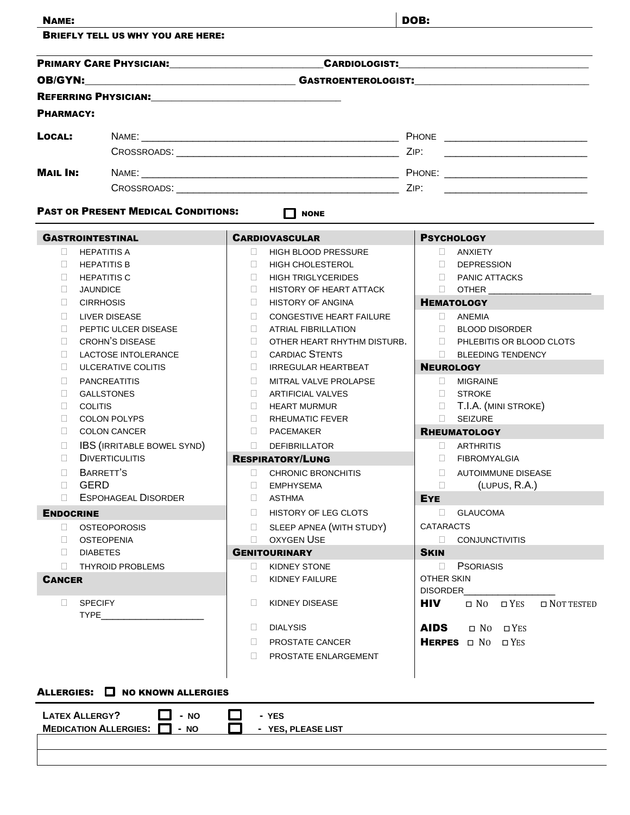| <b>NAME:</b>            |                                                                                                                                                                                                                                     |              |                                                       | DOB:         |                                                               |  |
|-------------------------|-------------------------------------------------------------------------------------------------------------------------------------------------------------------------------------------------------------------------------------|--------------|-------------------------------------------------------|--------------|---------------------------------------------------------------|--|
|                         | <b>BRIEFLY TELL US WHY YOU ARE HERE:</b>                                                                                                                                                                                            |              |                                                       |              |                                                               |  |
|                         | PRIMARY CARE PHYSICIAN: PRIMARY CARE PHYSICIAN:                                                                                                                                                                                     |              |                                                       |              |                                                               |  |
| <b>OB/GYN:</b>          |                                                                                                                                                                                                                                     |              |                                                       |              |                                                               |  |
|                         | <b>REFERRING PHYSICIAN:</b> 2008. 2009. 2010. 2010. 2010. 2010. 2010. 2010. 2010. 2010. 2010. 2010. 2010. 2010. 2010. 2010. 2010. 2010. 2010. 2010. 2010. 2010. 2010. 2010. 2010. 2010. 2010. 2010. 2010. 2010. 2010. 2010. 2010. 2 |              |                                                       |              |                                                               |  |
| <b>PHARMACY:</b>        |                                                                                                                                                                                                                                     |              |                                                       |              |                                                               |  |
| LOCAL:                  |                                                                                                                                                                                                                                     |              |                                                       |              |                                                               |  |
|                         |                                                                                                                                                                                                                                     |              |                                                       |              |                                                               |  |
| <b>MAIL IN:</b>         |                                                                                                                                                                                                                                     |              |                                                       |              |                                                               |  |
|                         |                                                                                                                                                                                                                                     |              |                                                       |              |                                                               |  |
|                         | <b>PAST OR PRESENT MEDICAL CONDITIONS:</b>                                                                                                                                                                                          |              | П<br><b>NONE</b>                                      |              |                                                               |  |
|                         |                                                                                                                                                                                                                                     |              |                                                       |              |                                                               |  |
| <b>GASTROINTESTINAL</b> |                                                                                                                                                                                                                                     |              | <b>CARDIOVASCULAR</b>                                 |              | <b>PSYCHOLOGY</b>                                             |  |
| $\Box$<br>П.            | <b>HEPATITIS A</b><br><b>HEPATITIS B</b>                                                                                                                                                                                            | $\Box$<br>П. | <b>HIGH BLOOD PRESSURE</b><br><b>HIGH CHOLESTEROL</b> |              | <b>ANXIETY</b><br>$\mathbf{L}$<br>$\Box$<br><b>DEPRESSION</b> |  |
| П.                      | <b>HEPATITIS C</b>                                                                                                                                                                                                                  | П.           | <b>HIGH TRIGLYCERIDES</b>                             |              | <b>PANIC ATTACKS</b><br>$\Box$                                |  |
| П.                      | <b>JAUNDICE</b>                                                                                                                                                                                                                     | П.           | HISTORY OF HEART ATTACK                               |              | $\Box$ OTHER                                                  |  |
| П.                      | <b>CIRRHOSIS</b>                                                                                                                                                                                                                    | П.           | <b>HISTORY OF ANGINA</b>                              |              | <b>HEMATOLOGY</b>                                             |  |
| П.                      | LIVER DISEASE                                                                                                                                                                                                                       | П.           | <b>CONGESTIVE HEART FAILURE</b>                       |              | ANEMIA<br>$\mathbf{1}$                                        |  |
| П.                      | PEPTIC ULCER DISEASE                                                                                                                                                                                                                | П.           | <b>ATRIAL FIBRILLATION</b>                            |              | <b>BLOOD DISORDER</b><br>$\Box$                               |  |
| П.                      | <b>CROHN'S DISEASE</b>                                                                                                                                                                                                              | П.           | OTHER HEART RHYTHM DISTURB.                           |              | $\Box$<br>PHLEBITIS OR BLOOD CLOTS                            |  |
| П                       | <b>LACTOSE INTOLERANCE</b>                                                                                                                                                                                                          | П.           | <b>CARDIAC STENTS</b>                                 |              | $\Box$<br><b>BLEEDING TENDENCY</b>                            |  |
| П.                      | ULCERATIVE COLITIS                                                                                                                                                                                                                  | П.           | <b>IRREGULAR HEARTBEAT</b>                            |              | <b>NEUROLOGY</b>                                              |  |
| $\mathbf{L}$            | <b>PANCREATITIS</b>                                                                                                                                                                                                                 | $\Box$       | MITRAL VALVE PROLAPSE                                 |              | <b>MIGRAINE</b>                                               |  |
| $\Box$                  | <b>GALLSTONES</b>                                                                                                                                                                                                                   | $\Box$       | <b>ARTIFICIAL VALVES</b>                              |              | <b>STROKE</b><br>$17 -$                                       |  |
| $\Box$<br>П             | <b>COLITIS</b><br><b>COLON POLYPS</b>                                                                                                                                                                                               | $\Box$<br>П. | <b>HEART MURMUR</b><br><b>RHEUMATIC FEVER</b>         |              | <b>T.I.A.</b> (MINI STROKE)<br><b>SEIZURE</b><br>$\Box$       |  |
| П                       | <b>COLON CANCER</b>                                                                                                                                                                                                                 | П.           | PACEMAKER                                             |              | <b>RHEUMATOLOGY</b>                                           |  |
| П                       | <b>IBS (IRRITABLE BOWEL SYND)</b>                                                                                                                                                                                                   | П.           | <b>DEFIBRILLATOR</b>                                  | $\mathbf{1}$ | <b>ARTHRITIS</b>                                              |  |
| П                       | <b>DIVERTICULITIS</b>                                                                                                                                                                                                               |              | <b>RESPIRATORY/LUNG</b>                               |              | <b>FIBROMYALGIA</b>                                           |  |
| П                       | BARRETT'S                                                                                                                                                                                                                           | П.           | <b>CHRONIC BRONCHITIS</b>                             | П.           | <b>AUTOIMMUNE DISEASE</b>                                     |  |
| GERD<br>П.              |                                                                                                                                                                                                                                     | $\Box$       | <b>EMPHYSEMA</b>                                      | $\Box$       | (LUPUS, R.A.)                                                 |  |
| П.                      | <b>ESPOHAGEAL DISORDER</b>                                                                                                                                                                                                          | $\Box$       | ASTHMA                                                | <b>EYE</b>   |                                                               |  |
| <b>ENDOCRINE</b>        |                                                                                                                                                                                                                                     | $\Box$       | HISTORY OF LEG CLOTS                                  |              | <b>GLAUCOMA</b><br>$\Box$                                     |  |
| Ω.                      | <b>OSTEOPOROSIS</b>                                                                                                                                                                                                                 | П.           | SLEEP APNEA (WITH STUDY)                              |              | <b>CATARACTS</b>                                              |  |
| П.                      | <b>OSTEOPENIA</b>                                                                                                                                                                                                                   | $\Box$       | <b>OXYGEN USE</b>                                     |              | <b>CONJUNCTIVITIS</b>                                         |  |
| $\Box$                  | <b>DIABETES</b>                                                                                                                                                                                                                     |              | <b>GENITOURINARY</b>                                  | <b>SKIN</b>  |                                                               |  |
| $\Box$                  | <b>THYROID PROBLEMS</b>                                                                                                                                                                                                             | u            | KIDNEY STONE                                          | $\Box$       | <b>PSORIASIS</b>                                              |  |
| <b>CANCER</b>           |                                                                                                                                                                                                                                     | $\Box$       | KIDNEY FAILURE                                        |              | OTHER SKIN<br><b>DISORDER</b>                                 |  |
| $\Box$                  | <b>SPECIFY</b>                                                                                                                                                                                                                      | $\Box$       | KIDNEY DISEASE                                        | <b>HIV</b>   | $\Box$ NO $\Box$ YES<br>$\Box$ NOT TESTED                     |  |
|                         | <b>TYPE</b>                                                                                                                                                                                                                         | u            | <b>DIALYSIS</b>                                       | <b>AIDS</b>  | $\Box$ NO $\Box$ YES                                          |  |
|                         |                                                                                                                                                                                                                                     | П.           | PROSTATE CANCER                                       |              | HERPES ON OYES                                                |  |
|                         |                                                                                                                                                                                                                                     | П.           |                                                       |              |                                                               |  |
|                         |                                                                                                                                                                                                                                     |              | PROSTATE ENLARGEMENT                                  |              |                                                               |  |
|                         |                                                                                                                                                                                                                                     |              |                                                       |              |                                                               |  |
|                         | ALLERGIES: O NO KNOWN ALLERGIES                                                                                                                                                                                                     |              |                                                       |              |                                                               |  |
|                         |                                                                                                                                                                                                                                     |              |                                                       |              |                                                               |  |
| <b>LATEX ALLERGY?</b>   | $- NO$                                                                                                                                                                                                                              |              | - YES                                                 |              |                                                               |  |
|                         | <b>MEDICATION ALLERGIES:</b><br>- NO                                                                                                                                                                                                |              | - YES, PLEASE LIST                                    |              |                                                               |  |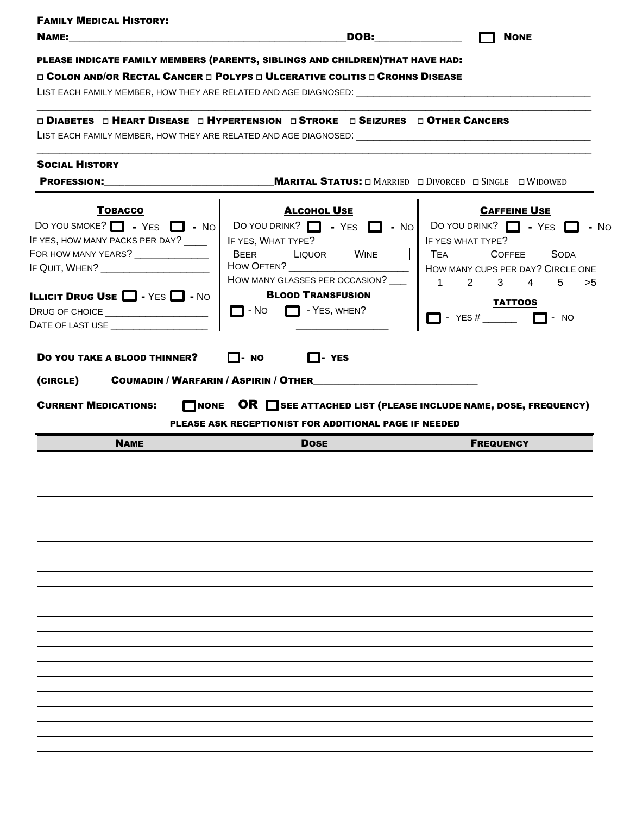|                                                                              | PLEASE INDICATE FAMILY MEMBERS (PARENTS, SIBLINGS AND CHILDREN)THAT HAVE HAD:                   |                                                                                    |
|------------------------------------------------------------------------------|-------------------------------------------------------------------------------------------------|------------------------------------------------------------------------------------|
|                                                                              | $\Box$ Colon and/or Rectal Cancer $\Box$ Polyps $\Box$ Ulcerative colitis $\Box$ Crohns Disease |                                                                                    |
|                                                                              |                                                                                                 |                                                                                    |
|                                                                              | <b>□ DIABETES □ HEART DISEASE □ HYPERTENSION □ STROKE □ SEIZURES □ OTHER CANCERS</b>            |                                                                                    |
|                                                                              |                                                                                                 |                                                                                    |
| <b>SOCIAL HISTORY</b>                                                        |                                                                                                 |                                                                                    |
| <b>PROFESSION:</b>                                                           |                                                                                                 | <b>MARITAL STATUS:</b> $\Box$ MARRIED $\Box$ DIVORCED $\Box$ SINGLE $\Box$ WIDOWED |
| <b>TOBACCO</b>                                                               | <b>ALCOHOL USE</b>                                                                              | <b>CAFFEINE USE</b>                                                                |
| DO YOU SMOKE? $\Box$ - YES $\Box$ - No                                       | DO YOU DRINK? $\Box$ - YES $\Box$ - No   DO YOU DRINK? $\Box$ - YES $\Box$ - No                 |                                                                                    |
| IF YES, HOW MANY PACKS PER DAY? ____                                         | IF YES, WHAT TYPE?                                                                              | IF YES WHAT TYPE?                                                                  |
| FOR HOW MANY YEARS? ______________                                           | <b>BEER</b><br>LIQUOR<br>WINE                                                                   | TEA<br><b>COFFEE</b><br><b>SODA</b>                                                |
| IF QUIT, WHEN? ____________________                                          | <b>HOW OFTEN?</b>                                                                               | HOW MANY CUPS PER DAY? CIRCLE ONE                                                  |
|                                                                              | HOW MANY GLASSES PER OCCASION?                                                                  | $\overline{1}$<br>5<br>2<br>3<br>4<br>>5                                           |
| <b>ILLICIT DRUG USE <math>\Box</math></b> - YES $\Box$ - No                  | <b>BLOOD TRANSFUSION</b>                                                                        |                                                                                    |
| DRUG OF CHOICE ________________________                                      | $\Box$ - No<br>$\Box$ - Yes, WHEN?                                                              | <b>TATTOOS</b>                                                                     |
| DATE OF LAST USE __________________                                          |                                                                                                 | - $YES #$ $\Box$ - NO<br><b>Tara</b>                                               |
|                                                                              |                                                                                                 |                                                                                    |
| DO YOU TAKE A BLOOD THINNER?<br><b>COUMADIN / WARFARIN / ASPIRIN / OTHER</b> | $\Box$ - YES<br>I I-NO<br>NONE OR SEE ATTACHED LIST (PLEASE INCLUDE NAME, DOSE, FREQUENCY)      |                                                                                    |
|                                                                              | PLEASE ASK RECEPTIONIST FOR ADDITIONAL PAGE IF NEEDED                                           |                                                                                    |
| <b>NAME</b>                                                                  | <b>DOSE</b>                                                                                     | <b>FREQUENCY</b>                                                                   |
| (CIRCLE)<br><b>CURRENT MEDICATIONS:</b>                                      |                                                                                                 |                                                                                    |
|                                                                              |                                                                                                 |                                                                                    |
|                                                                              |                                                                                                 |                                                                                    |
|                                                                              |                                                                                                 |                                                                                    |
|                                                                              |                                                                                                 |                                                                                    |
|                                                                              |                                                                                                 |                                                                                    |
|                                                                              |                                                                                                 |                                                                                    |
|                                                                              |                                                                                                 |                                                                                    |
|                                                                              |                                                                                                 |                                                                                    |
|                                                                              |                                                                                                 |                                                                                    |
|                                                                              |                                                                                                 |                                                                                    |
|                                                                              |                                                                                                 |                                                                                    |
|                                                                              |                                                                                                 |                                                                                    |
|                                                                              |                                                                                                 |                                                                                    |
|                                                                              |                                                                                                 |                                                                                    |
|                                                                              |                                                                                                 |                                                                                    |